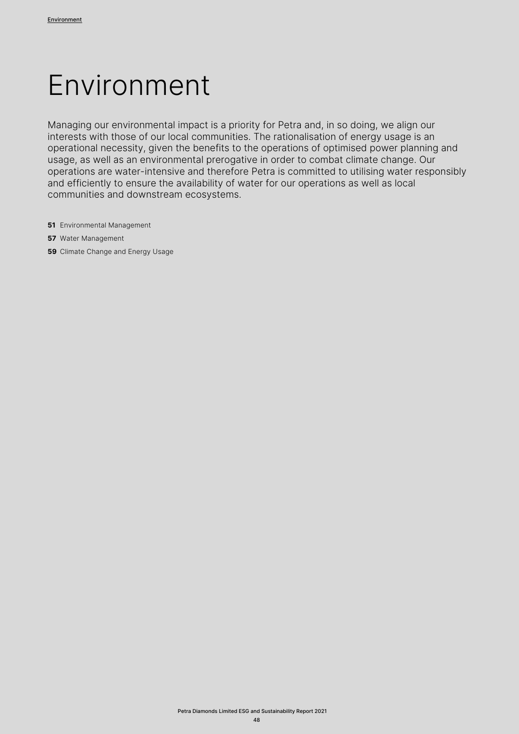# Environment

Managing our environmental impact is a priority for Petra and, in so doing, we align our interests with those of our local communities. The rationalisation of energy usage is an operational necessity, given the benefits to the operations of optimised power planning and usage, as well as an environmental prerogative in order to combat climate change. Our operations are water-intensive and therefore Petra is committed to utilising water responsibly and efficiently to ensure the availability of water for our operations as well as local communities and downstream ecosystems.

- **51** Environmental Management
- **57** Water Management
- **59** Climate Change and Energy Usage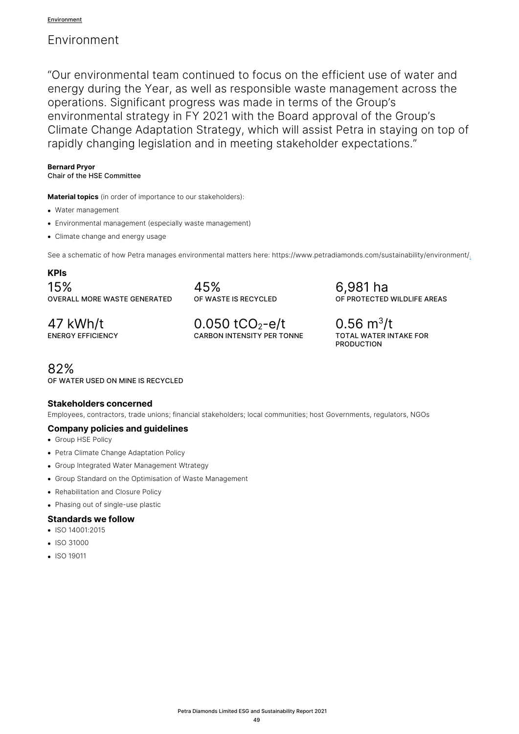# Environment

"Our environmental team continued to focus on the efficient use of water and energy during the Year, as well as responsible waste management across the operations. Significant progress was made in terms of the Group's environmental strategy in FY 2021 with the Board approval of the Group's Climate Change Adaptation Strategy, which will assist Petra in staying on top of rapidly changing legislation and in meeting stakeholder expectations."

### **Bernard Pryor**

# Chair of the HSE Committee

**Material topics** (in order of importance to our stakeholders):

- Water management
- Environmental management (especially waste management)
- Climate change and energy usage

See a schematic of how Petra manages environmental matters here: https://www.petradiamonds.com/sustainability/environment/.

# **KPIs**

15% OVERALL MORE WASTE GENERATED

45% OF WASTE IS RECYCLED

47 kWh/t ENERGY EFFICIENCY  $0.050$  tCO<sub>2</sub>-e/t CARBON INTENSITY PER TONNE 6,981 ha OF PROTECTED WILDLIFE AREAS

 $0.56$  m<sup>3</sup>/t TOTAL WATER INTAKE FOR PRODUCTION

82% OF WATER USED ON MINE IS RECYCLED

# **Stakeholders concerned**

Employees, contractors, trade unions; financial stakeholders; local communities; host Governments, regulators, NGOs

# **Company policies and guidelines**

- Group HSE Policy
- Petra Climate Change Adaptation Policy
- Group Integrated Water Management Wtrategy
- Group Standard on the Optimisation of Waste Management
- Rehabilitation and Closure Policy
- Phasing out of single-use plastic

# **Standards we follow**

- ISO 14001:2015
- ISO 31000
- ISO 19011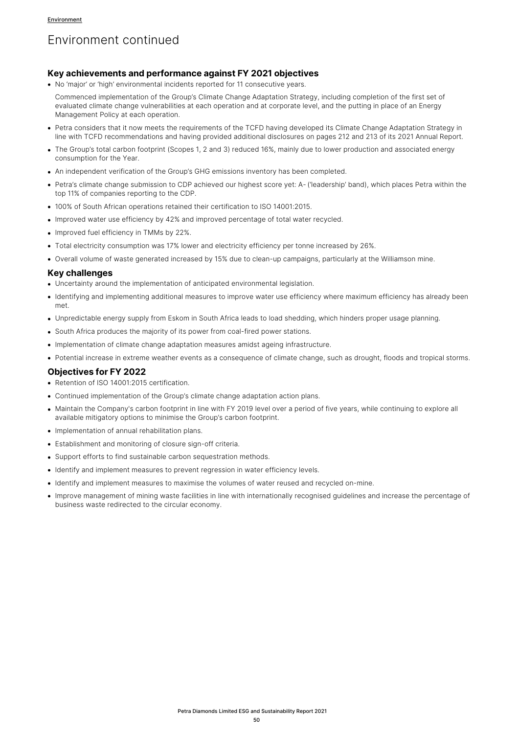# Environment continued

#### **Key achievements and performance against FY 2021 objectives**

• No 'major' or 'high' environmental incidents reported for 11 consecutive years.

Commenced implementation of the Group's Climate Change Adaptation Strategy, including completion of the first set of evaluated climate change vulnerabilities at each operation and at corporate level, and the putting in place of an Energy Management Policy at each operation.

- Petra considers that it now meets the requirements of the TCFD having developed its Climate Change Adaptation Strategy in line with TCFD recommendations and having provided additional disclosures on pages 212 and 213 of its 2021 Annual Report.
- The Group's total carbon footprint (Scopes 1, 2 and 3) reduced 16%, mainly due to lower production and associated energy consumption for the Year.
- An independent verification of the Group's GHG emissions inventory has been completed.
- Petra's climate change submission to CDP achieved our highest score yet: A- ('leadership' band), which places Petra within the top 11% of companies reporting to the CDP.
- 100% of South African operations retained their certification to ISO 14001:2015.
- Improved water use efficiency by 42% and improved percentage of total water recycled.
- Improved fuel efficiency in TMMs by 22%.
- Total electricity consumption was 17% lower and electricity efficiency per tonne increased by 26%.
- Overall volume of waste generated increased by 15% due to clean-up campaigns, particularly at the Williamson mine.

#### **Key challenges**

- Uncertainty around the implementation of anticipated environmental legislation.
- Identifying and implementing additional measures to improve water use efficiency where maximum efficiency has already been met.
- Unpredictable energy supply from Eskom in South Africa leads to load shedding, which hinders proper usage planning.
- South Africa produces the majority of its power from coal-fired power stations.
- Implementation of climate change adaptation measures amidst ageing infrastructure.
- Potential increase in extreme weather events as a consequence of climate change, such as drought, floods and tropical storms.

### **Objectives for FY 2022**

- Retention of ISO 14001:2015 certification.
- Continued implementation of the Group's climate change adaptation action plans.
- Maintain the Company's carbon footprint in line with FY 2019 level over a period of five years, while continuing to explore all available mitigatory options to minimise the Group's carbon footprint.
- Implementation of annual rehabilitation plans.
- Establishment and monitoring of closure sign-off criteria.
- Support efforts to find sustainable carbon sequestration methods.
- Identify and implement measures to prevent regression in water efficiency levels.
- Identify and implement measures to maximise the volumes of water reused and recycled on-mine.
- Improve management of mining waste facilities in line with internationally recognised guidelines and increase the percentage of business waste redirected to the circular economy.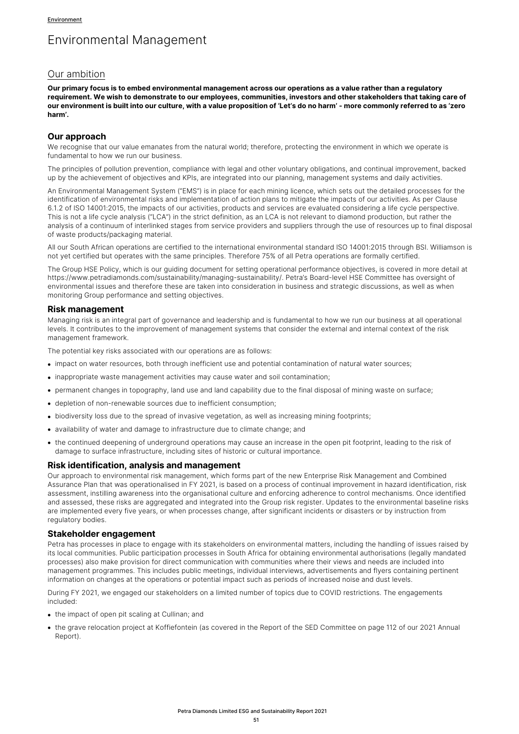# Environmental Management

# Our ambition

**Our primary focus is to embed environmental management across our operations as a value rather than a regulatory requirement. We wish to demonstrate to our employees, communities, investors and other stakeholders that taking care of our environment is built into our culture, with a value proposition of 'Let's do no harm' - more commonly referred to as 'zero harm'.**

#### **Our approach**

We recognise that our value emanates from the natural world; therefore, protecting the environment in which we operate is fundamental to how we run our business.

The principles of pollution prevention, compliance with legal and other voluntary obligations, and continual improvement, backed up by the achievement of objectives and KPIs, are integrated into our planning, management systems and daily activities.

An Environmental Management System ("EMS") is in place for each mining licence, which sets out the detailed processes for the identification of environmental risks and implementation of action plans to mitigate the impacts of our activities. As per Clause 6.1.2 of ISO 14001:2015, the impacts of our activities, products and services are evaluated considering a life cycle perspective. This is not a life cycle analysis ("LCA") in the strict definition, as an LCA is not relevant to diamond production, but rather the analysis of a continuum of interlinked stages from service providers and suppliers through the use of resources up to final disposal of waste products/packaging material.

All our South African operations are certified to the international environmental standard ISO 14001:2015 through BSI. Williamson is not yet certified but operates with the same principles. Therefore 75% of all Petra operations are formally certified.

The Group HSE Policy, which is our guiding document for setting operational performance objectives, is covered in more detail at https://www.petradiamonds.com/sustainability/managing-sustainability/. Petra's Board-level HSE Committee has oversight of environmental issues and therefore these are taken into consideration in business and strategic discussions, as well as when monitoring Group performance and setting objectives.

### **Risk management**

Managing risk is an integral part of governance and leadership and is fundamental to how we run our business at all operational levels. It contributes to the improvement of management systems that consider the external and internal context of the risk management framework.

The potential key risks associated with our operations are as follows:

- impact on water resources, both through inefficient use and potential contamination of natural water sources;
- inappropriate waste management activities may cause water and soil contamination;
- permanent changes in topography, land use and land capability due to the final disposal of mining waste on surface;
- depletion of non-renewable sources due to inefficient consumption;
- biodiversity loss due to the spread of invasive vegetation, as well as increasing mining footprints;
- availability of water and damage to infrastructure due to climate change; and
- the continued deepening of underground operations may cause an increase in the open pit footprint, leading to the risk of damage to surface infrastructure, including sites of historic or cultural importance.

### **Risk identification, analysis and management**

Our approach to environmental risk management, which forms part of the new Enterprise Risk Management and Combined Assurance Plan that was operationalised in FY 2021, is based on a process of continual improvement in hazard identification, risk assessment, instilling awareness into the organisational culture and enforcing adherence to control mechanisms. Once identified and assessed, these risks are aggregated and integrated into the Group risk register. Updates to the environmental baseline risks are implemented every five years, or when processes change, after significant incidents or disasters or by instruction from regulatory bodies.

#### **Stakeholder engagement**

Petra has processes in place to engage with its stakeholders on environmental matters, including the handling of issues raised by its local communities. Public participation processes in South Africa for obtaining environmental authorisations (legally mandated processes) also make provision for direct communication with communities where their views and needs are included into management programmes. This includes public meetings, individual interviews, advertisements and flyers containing pertinent information on changes at the operations or potential impact such as periods of increased noise and dust levels.

During FY 2021, we engaged our stakeholders on a limited number of topics due to COVID restrictions. The engagements included:

- the impact of open pit scaling at Cullinan; and
- the grave relocation project at Koffiefontein (as covered in the Report of the SED Committee on page 112 of our 2021 Annual Report).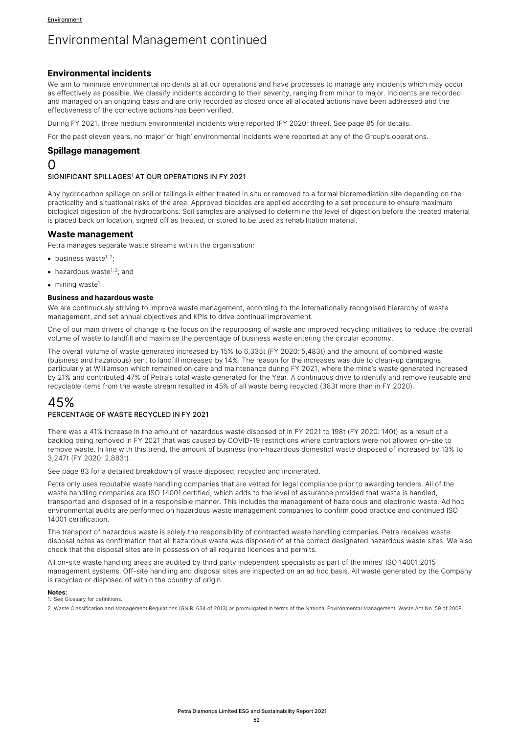### **Environmental incidents**

We aim to minimise environmental incidents at all our operations and have processes to manage any incidents which may occur as effectively as possible. We classify incidents according to their severity, ranging from minor to major. Incidents are recorded and managed on an ongoing basis and are only recorded as closed once all allocated actions have been addressed and the effectiveness of the corrective actions has been verified.

During FY 2021, three medium environmental incidents were reported (FY 2020: three). See page 85 for details.

For the past eleven years, no 'major' or 'high' environmental incidents were reported at any of the Group's operations.

#### **Spillage management**

# 0

#### SIGNIFICANT SPILLAGES<sup>1</sup> AT OUR OPERATIONS IN FY 2021

Any hydrocarbon spillage on soil or tailings is either treated in situ or removed to a formal bioremediation site depending on the practicality and situational risks of the area. Approved biocides are applied according to a set procedure to ensure maximum biological digestion of the hydrocarbons. Soil samples are analysed to determine the level of digestion before the treated material is placed back on location, signed off as treated, or stored to be used as rehabilitation material.

### **Waste management**

Petra manages separate waste streams within the organisation:

- business waste $1, 2$ :
- hazardous waste<sup>1, 2</sup>; and
- mining waste<sup>1</sup>.

#### **Business and hazardous waste**

We are continuously striving to improve waste management, according to the internationally recognised hierarchy of waste management, and set annual objectives and KPIs to drive continual improvement.

One of our main drivers of change is the focus on the repurposing of waste and improved recycling initiatives to reduce the overall volume of waste to landfill and maximise the percentage of business waste entering the circular economy.

The overall volume of waste generated increased by 15% to 6,335t (FY 2020: 5,483t) and the amount of combined waste (business and hazardous) sent to landfill increased by 14%. The reason for the increases was due to clean-up campaigns, particularly at Williamson which remained on care and maintenance during FY 2021, where the mine's waste generated increased by 21% and contributed 47% of Petra's total waste generated for the Year. A continuous drive to identify and remove reusable and recyclable items from the waste stream resulted in 45% of all waste being recycled (383t more than in FY 2020).

# 45%

#### PERCENTAGE OF WASTE RECYCLED IN FY 2021

There was a 41% increase in the amount of hazardous waste disposed of in FY 2021 to 198t (FY 2020: 140t) as a result of a backlog being removed in FY 2021 that was caused by COVID-19 restrictions where contractors were not allowed on-site to remove waste. In line with this trend, the amount of business (non-hazardous domestic) waste disposed of increased by 13% to 3,247t (FY 2020: 2,883t).

See page 83 for a detailed breakdown of waste disposed, recycled and incinerated.

Petra only uses reputable waste handling companies that are vetted for legal compliance prior to awarding tenders. All of the waste handling companies are ISO 14001 certified, which adds to the level of assurance provided that waste is handled, transported and disposed of in a responsible manner. This includes the management of hazardous and electronic waste. Ad hoc environmental audits are performed on hazardous waste management companies to confirm good practice and continued ISO 14001 certification.

The transport of hazardous waste is solely the responsibility of contracted waste handling companies. Petra receives waste disposal notes as confirmation that all hazardous waste was disposed of at the correct designated hazardous waste sites. We also check that the disposal sites are in possession of all required licences and permits.

All on-site waste handling areas are audited by third party independent specialists as part of the mines' ISO 14001:2015 management systems. Off-site handling and disposal sites are inspected on an ad hoc basis. All waste generated by the Company is recycled or disposed of within the country of origin.

#### **Notes:**

1. See Glossary for definitions.

2. Waste Classification and Management Regulations (GN R. 634 of 2013) as promulgated in terms of the National Environmental Management: Waste Act No. 59 of 2008.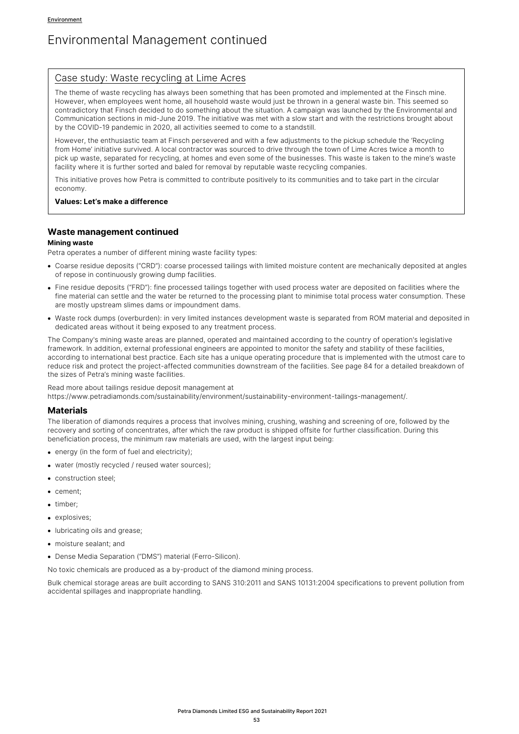## Case study: Waste recycling at Lime Acres

The theme of waste recycling has always been something that has been promoted and implemented at the Finsch mine. However, when employees went home, all household waste would just be thrown in a general waste bin. This seemed so contradictory that Finsch decided to do something about the situation. A campaign was launched by the Environmental and Communication sections in mid-June 2019. The initiative was met with a slow start and with the restrictions brought about by the COVID-19 pandemic in 2020, all activities seemed to come to a standstill.

However, the enthusiastic team at Finsch persevered and with a few adjustments to the pickup schedule the 'Recycling from Home' initiative survived. A local contractor was sourced to drive through the town of Lime Acres twice a month to pick up waste, separated for recycling, at homes and even some of the businesses. This waste is taken to the mine's waste facility where it is further sorted and baled for removal by reputable waste recycling companies.

This initiative proves how Petra is committed to contribute positively to its communities and to take part in the circular economy.

#### **Values: Let's make a difference**

### **Waste management continued**

### **Mining waste**

Petra operates a number of different mining waste facility types:

- Coarse residue deposits ("CRD"): coarse processed tailings with limited moisture content are mechanically deposited at angles of repose in continuously growing dump facilities.
- Fine residue deposits ("FRD"): fine processed tailings together with used process water are deposited on facilities where the fine material can settle and the water be returned to the processing plant to minimise total process water consumption. These are mostly upstream slimes dams or impoundment dams.
- Waste rock dumps (overburden): in very limited instances development waste is separated from ROM material and deposited in dedicated areas without it being exposed to any treatment process.

The Company's mining waste areas are planned, operated and maintained according to the country of operation's legislative framework. In addition, external professional engineers are appointed to monitor the safety and stability of these facilities, according to international best practice. Each site has a unique operating procedure that is implemented with the utmost care to reduce risk and protect the project-affected communities downstream of the facilities. See page 84 for a detailed breakdown of the sizes of Petra's mining waste facilities.

Read more about tailings residue deposit management at

https://www.petradiamonds.com/sustainability/environment/sustainability-environment-tailings-management/.

#### **Materials**

The liberation of diamonds requires a process that involves mining, crushing, washing and screening of ore, followed by the recovery and sorting of concentrates, after which the raw product is shipped offsite for further classification. During this beneficiation process, the minimum raw materials are used, with the largest input being:

- energy (in the form of fuel and electricity);
- water (mostly recycled / reused water sources):
- construction steel:
- cement;
- timber;
- explosives;
- lubricating oils and grease:
- moisture sealant; and
- Dense Media Separation ("DMS") material (Ferro-Silicon).

No toxic chemicals are produced as a by-product of the diamond mining process.

Bulk chemical storage areas are built according to SANS 310:2011 and SANS 10131:2004 specifications to prevent pollution from accidental spillages and inappropriate handling.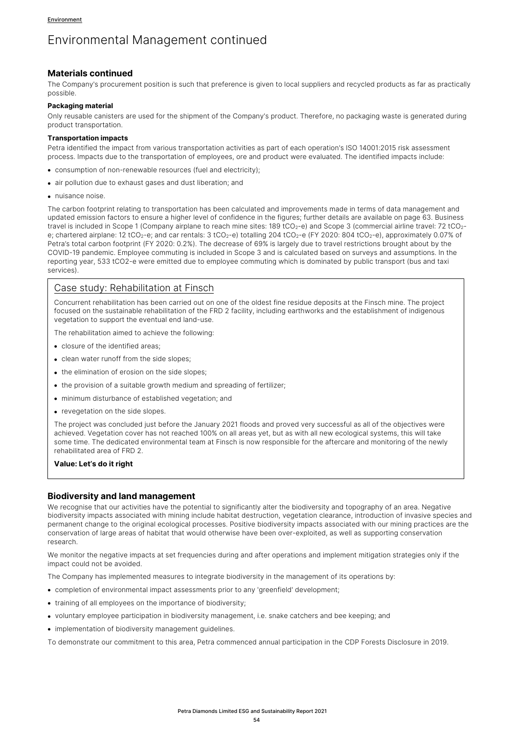### **Materials continued**

The Company's procurement position is such that preference is given to local suppliers and recycled products as far as practically possible.

#### **Packaging material**

Only reusable canisters are used for the shipment of the Company's product. Therefore, no packaging waste is generated during product transportation.

#### **Transportation impacts**

Petra identified the impact from various transportation activities as part of each operation's ISO 14001:2015 risk assessment process. Impacts due to the transportation of employees, ore and product were evaluated. The identified impacts include:

- consumption of non-renewable resources (fuel and electricity);
- air pollution due to exhaust gases and dust liberation; and
- nuisance noise.

The carbon footprint relating to transportation has been calculated and improvements made in terms of data management and updated emission factors to ensure a higher level of confidence in the figures; further details are available on page 63. Business travel is included in Scope 1 (Company airplane to reach mine sites: 189 tCO<sub>2</sub>-e) and Scope 3 (commercial airline travel: 72 tCO<sub>2</sub>e; chartered airplane: 12 tCO<sub>2</sub>-e; and car rentals: 3 tCO<sub>2</sub>-e) totalling 204 tCO<sub>2</sub>-e (FY 2020: 804 tCO<sub>2</sub>-e), approximately 0.07% of Petra's total carbon footprint (FY 2020: 0.2%). The decrease of 69% is largely due to travel restrictions brought about by the COVID-19 pandemic. Employee commuting is included in Scope 3 and is calculated based on surveys and assumptions. In the reporting year, 533 tCO2-e were emitted due to employee commuting which is dominated by public transport (bus and taxi services).

# Case study: Rehabilitation at Finsch

Concurrent rehabilitation has been carried out on one of the oldest fine residue deposits at the Finsch mine. The project focused on the sustainable rehabilitation of the FRD 2 facility, including earthworks and the establishment of indigenous vegetation to support the eventual end land-use.

The rehabilitation aimed to achieve the following:

- closure of the identified areas;
- clean water runoff from the side slopes;
- the elimination of erosion on the side slopes;
- the provision of a suitable growth medium and spreading of fertilizer;
- minimum disturbance of established vegetation; and
- revegetation on the side slopes.

The project was concluded just before the January 2021 floods and proved very successful as all of the objectives were achieved. Vegetation cover has not reached 100% on all areas yet, but as with all new ecological systems, this will take some time. The dedicated environmental team at Finsch is now responsible for the aftercare and monitoring of the newly rehabilitated area of FRD 2.

#### **Value: Let's do it right**

### **Biodiversity and land management**

We recognise that our activities have the potential to significantly alter the biodiversity and topography of an area. Negative biodiversity impacts associated with mining include habitat destruction, vegetation clearance, introduction of invasive species and permanent change to the original ecological processes. Positive biodiversity impacts associated with our mining practices are the conservation of large areas of habitat that would otherwise have been over-exploited, as well as supporting conservation research.

We monitor the negative impacts at set frequencies during and after operations and implement mitigation strategies only if the impact could not be avoided.

The Company has implemented measures to integrate biodiversity in the management of its operations by:

- completion of environmental impact assessments prior to any 'greenfield' development;
- training of all employees on the importance of biodiversity;
- voluntary employee participation in biodiversity management, i.e. snake catchers and bee keeping; and
- implementation of biodiversity management guidelines.

To demonstrate our commitment to this area, Petra commenced annual participation in the CDP Forests Disclosure in 2019.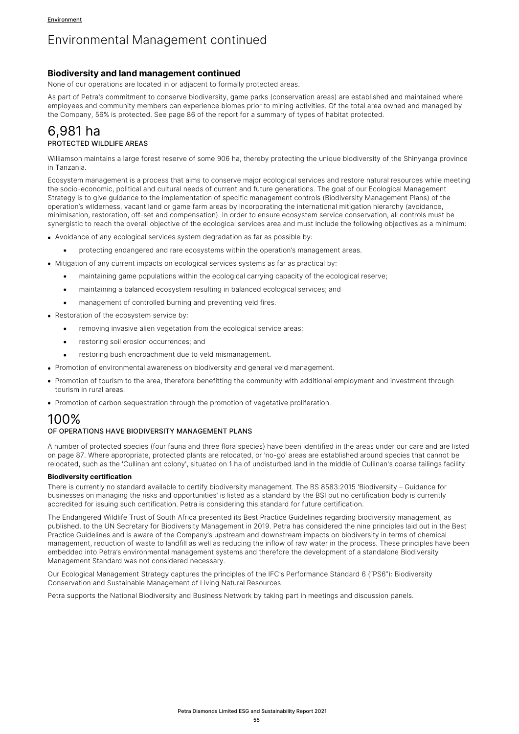### **Biodiversity and land management continued**

None of our operations are located in or adjacent to formally protected areas.

As part of Petra's commitment to conserve biodiversity, game parks (conservation areas) are established and maintained where employees and community members can experience biomes prior to mining activities. Of the total area owned and managed by the Company, 56% is protected. See page 86 of the report for a summary of types of habitat protected.

# 6,981 ha PROTECTED WILDLIFE AREAS

Williamson maintains a large forest reserve of some 906 ha, thereby protecting the unique biodiversity of the Shinyanga province in Tanzania.

Ecosystem management is a process that aims to conserve major ecological services and restore natural resources while meeting the socio-economic, political and cultural needs of current and future generations. The goal of our Ecological Management Strategy is to give guidance to the implementation of specific management controls (Biodiversity Management Plans) of the operation's wilderness, vacant land or game farm areas by incorporating the international mitigation hierarchy (avoidance, minimisation, restoration, off-set and compensation). In order to ensure ecosystem service conservation, all controls must be synergistic to reach the overall objective of the ecological services area and must include the following objectives as a minimum:

- Avoidance of any ecological services system degradation as far as possible by:
	- protecting endangered and rare ecosystems within the operation's management areas.
- Mitigation of any current impacts on ecological services systems as far as practical by:
	- maintaining game populations within the ecological carrying capacity of the ecological reserve;
	- maintaining a balanced ecosystem resulting in balanced ecological services; and
	- management of controlled burning and preventing yeld fires.
- Restoration of the ecosystem service by:
	- removing invasive alien vegetation from the ecological service areas;
	- restoring soil erosion occurrences; and
	- restoring bush encroachment due to veld mismanagement.
- Promotion of environmental awareness on biodiversity and general veld management.
- Promotion of tourism to the area, therefore benefitting the community with additional employment and investment through tourism in rural areas.
- Promotion of carbon sequestration through the promotion of vegetative proliferation.

# 100%

#### OF OPERATIONS HAVE BIODIVERSITY MANAGEMENT PLANS

A number of protected species (four fauna and three flora species) have been identified in the areas under our care and are listed on page 87. Where appropriate, protected plants are relocated, or 'no-go' areas are established around species that cannot be relocated, such as the 'Cullinan ant colony', situated on 1 ha of undisturbed land in the middle of Cullinan's coarse tailings facility.

#### **Biodiversity certification**

There is currently no standard available to certify biodiversity management. The BS 8583:2015 'Biodiversity – Guidance for businesses on managing the risks and opportunities' is listed as a standard by the BSI but no certification body is currently accredited for issuing such certification. Petra is considering this standard for future certification.

The Endangered Wildlife Trust of South Africa presented its Best Practice Guidelines regarding biodiversity management, as published, to the UN Secretary for Biodiversity Management in 2019. Petra has considered the nine principles laid out in the Best Practice Guidelines and is aware of the Company's upstream and downstream impacts on biodiversity in terms of chemical management, reduction of waste to landfill as well as reducing the inflow of raw water in the process. These principles have been embedded into Petra's environmental management systems and therefore the development of a standalone Biodiversity Management Standard was not considered necessary.

Our Ecological Management Strategy captures the principles of the IFC's Performance Standard 6 ("PS6"): Biodiversity Conservation and Sustainable Management of Living Natural Resources.

Petra supports the National Biodiversity and Business Network by taking part in meetings and discussion panels.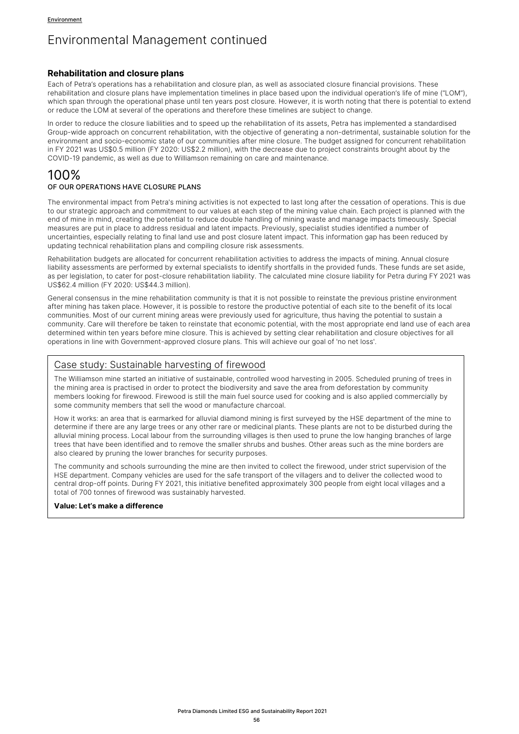### **Rehabilitation and closure plans**

Each of Petra's operations has a rehabilitation and closure plan, as well as associated closure financial provisions. These rehabilitation and closure plans have implementation timelines in place based upon the individual operation's life of mine ("LOM"), which span through the operational phase until ten years post closure. However, it is worth noting that there is potential to extend or reduce the LOM at several of the operations and therefore these timelines are subject to change.

In order to reduce the closure liabilities and to speed up the rehabilitation of its assets, Petra has implemented a standardised Group-wide approach on concurrent rehabilitation, with the objective of generating a non-detrimental, sustainable solution for the environment and socio-economic state of our communities after mine closure. The budget assigned for concurrent rehabilitation in FY 2021 was US\$0.5 million (FY 2020: US\$2.2 million), with the decrease due to project constraints brought about by the COVID-19 pandemic, as well as due to Williamson remaining on care and maintenance.

# 100%

### OF OUR OPERATIONS HAVE CLOSURE PLANS

The environmental impact from Petra's mining activities is not expected to last long after the cessation of operations. This is due to our strategic approach and commitment to our values at each step of the mining value chain. Each project is planned with the end of mine in mind, creating the potential to reduce double handling of mining waste and manage impacts timeously. Special measures are put in place to address residual and latent impacts. Previously, specialist studies identified a number of uncertainties, especially relating to final land use and post closure latent impact. This information gap has been reduced by updating technical rehabilitation plans and compiling closure risk assessments.

Rehabilitation budgets are allocated for concurrent rehabilitation activities to address the impacts of mining. Annual closure liability assessments are performed by external specialists to identify shortfalls in the provided funds. These funds are set aside, as per legislation, to cater for post-closure rehabilitation liability. The calculated mine closure liability for Petra during FY 2021 was US\$62.4 million (FY 2020: US\$44.3 million).

General consensus in the mine rehabilitation community is that it is not possible to reinstate the previous pristine environment after mining has taken place. However, it is possible to restore the productive potential of each site to the benefit of its local communities. Most of our current mining areas were previously used for agriculture, thus having the potential to sustain a community. Care will therefore be taken to reinstate that economic potential, with the most appropriate end land use of each area determined within ten years before mine closure. This is achieved by setting clear rehabilitation and closure objectives for all operations in line with Government-approved closure plans. This will achieve our goal of 'no net loss'.

# Case study: Sustainable harvesting of firewood

The Williamson mine started an initiative of sustainable, controlled wood harvesting in 2005. Scheduled pruning of trees in the mining area is practised in order to protect the biodiversity and save the area from deforestation by community members looking for firewood. Firewood is still the main fuel source used for cooking and is also applied commercially by some community members that sell the wood or manufacture charcoal.

How it works: an area that is earmarked for alluvial diamond mining is first surveyed by the HSE department of the mine to determine if there are any large trees or any other rare or medicinal plants. These plants are not to be disturbed during the alluvial mining process. Local labour from the surrounding villages is then used to prune the low hanging branches of large trees that have been identified and to remove the smaller shrubs and bushes. Other areas such as the mine borders are also cleared by pruning the lower branches for security purposes.

The community and schools surrounding the mine are then invited to collect the firewood, under strict supervision of the HSE department. Company vehicles are used for the safe transport of the villagers and to deliver the collected wood to central drop-off points. During FY 2021, this initiative benefited approximately 300 people from eight local villages and a total of 700 tonnes of firewood was sustainably harvested.

#### **Value: Let's make a difference**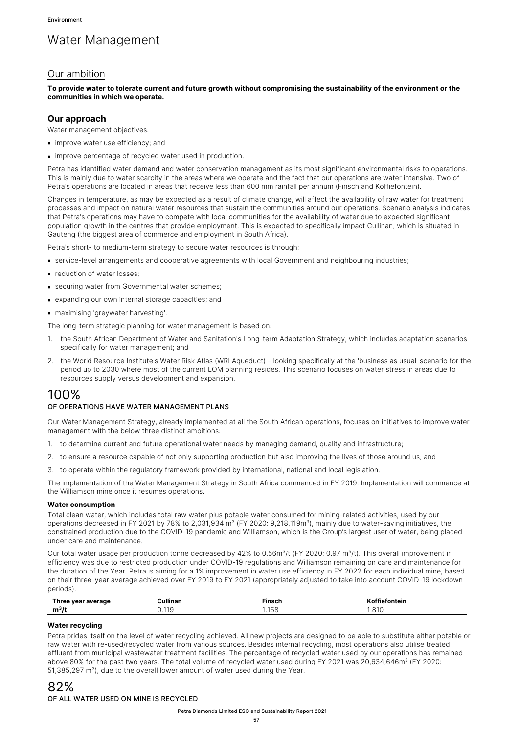# Water Management

# Our ambition

**To provide water to tolerate current and future growth without compromising the sustainability of the environment or the communities in which we operate.**

#### **Our approach**

Water management objectives:

- improve water use efficiency: and
- improve percentage of recycled water used in production.

Petra has identified water demand and water conservation management as its most significant environmental risks to operations. This is mainly due to water scarcity in the areas where we operate and the fact that our operations are water intensive. Two of Petra's operations are located in areas that receive less than 600 mm rainfall per annum (Finsch and Koffiefontein).

Changes in temperature, as may be expected as a result of climate change, will affect the availability of raw water for treatment processes and impact on natural water resources that sustain the communities around our operations. Scenario analysis indicates that Petra's operations may have to compete with local communities for the availability of water due to expected significant population growth in the centres that provide employment. This is expected to specifically impact Cullinan, which is situated in Gauteng (the biggest area of commerce and employment in South Africa).

Petra's short- to medium-term strategy to secure water resources is through:

- service-level arrangements and cooperative agreements with local Government and neighbouring industries;
- reduction of water losses;
- securing water from Governmental water schemes;
- expanding our own internal storage capacities; and
- maximising 'greywater harvesting'.

The long-term strategic planning for water management is based on:

- 1. the South African Department of Water and Sanitation's Long-term Adaptation Strategy, which includes adaptation scenarios specifically for water management; and
- 2. the World Resource Institute's Water Risk Atlas (WRI Aqueduct) looking specifically at the 'business as usual' scenario for the period up to 2030 where most of the current LOM planning resides. This scenario focuses on water stress in areas due to resources supply versus development and expansion.

# 100%

#### OF OPERATIONS HAVE WATER MANAGEMENT PLANS

Our Water Management Strategy, already implemented at all the South African operations, focuses on initiatives to improve water management with the below three distinct ambitions:

- 1. to determine current and future operational water needs by managing demand, quality and infrastructure;
- 2. to ensure a resource capable of not only supporting production but also improving the lives of those around us; and
- 3. to operate within the regulatory framework provided by international, national and local legislation.

The implementation of the Water Management Strategy in South Africa commenced in FY 2019. Implementation will commence at the Williamson mine once it resumes operations.

#### **Water consumption**

Total clean water, which includes total raw water plus potable water consumed for mining-related activities, used by our operations decreased in FY 2021 by 78% to 2,031,934  $m<sup>3</sup>$  (FY 2020: 9,218,119 $m<sup>3</sup>$ ), mainly due to water-saving initiatives, the constrained production due to the COVID-19 pandemic and Williamson, which is the Group's largest user of water, being placed under care and maintenance.

Our total water usage per production tonne decreased by 42% to 0.56m<sup>3</sup>/t (FY 2020: 0.97 m<sup>3</sup>/t). This overall improvement in efficiency was due to restricted production under COVID-19 regulations and Williamson remaining on care and maintenance for the duration of the Year. Petra is aiming for a 1% improvement in water use efficiency in FY 2022 for each individual mine, based on their three-year average achieved over FY 2019 to FY 2021 (appropriately adjusted to take into account COVID-19 lockdown periods).

| <b>Thre</b><br>average<br><b>VA2</b> | ullinar              | -ineek<br>113LI |                     |
|--------------------------------------|----------------------|-----------------|---------------------|
| . .<br>m <sup>3</sup>                | 11<br>$\mathbf{u}$ . | ப்பட            | $\bigcap$<br>.<br>. |

#### **Water recycling**

Petra prides itself on the level of water recycling achieved. All new projects are designed to be able to substitute either potable or raw water with re-used/recycled water from various sources. Besides internal recycling, most operations also utilise treated effluent from municipal wastewater treatment facilities. The percentage of recycled water used by our operations has remained above 80% for the past two years. The total volume of recycled water used during FY 2021 was 20,634,646m<sup>3</sup> (FY 2020: 51,385,297 m<sup>3</sup>), due to the overall lower amount of water used during the Year.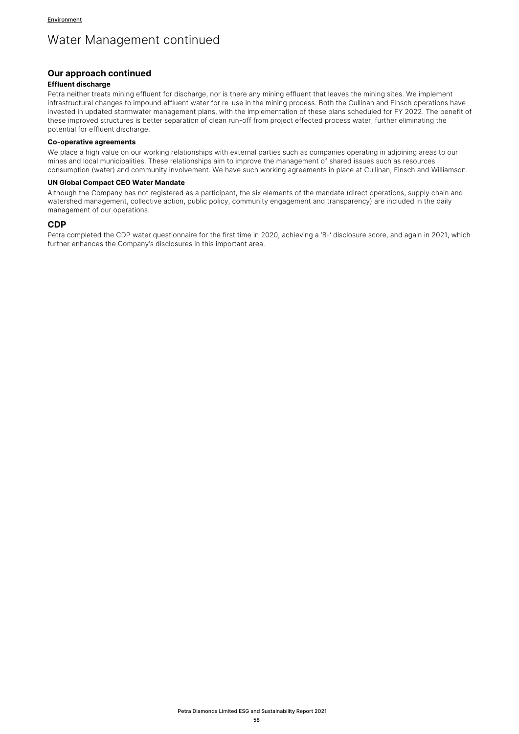# Water Management continued

### **Our approach continued**

#### **Effluent discharge**

Petra neither treats mining effluent for discharge, nor is there any mining effluent that leaves the mining sites. We implement infrastructural changes to impound effluent water for re-use in the mining process. Both the Cullinan and Finsch operations have invested in updated stormwater management plans, with the implementation of these plans scheduled for FY 2022. The benefit of these improved structures is better separation of clean run-off from project effected process water, further eliminating the potential for effluent discharge.

#### **Co-operative agreements**

We place a high value on our working relationships with external parties such as companies operating in adjoining areas to our mines and local municipalities. These relationships aim to improve the management of shared issues such as resources consumption (water) and community involvement. We have such working agreements in place at Cullinan, Finsch and Williamson.

#### **UN Global Compact CEO Water Mandate**

Although the Company has not registered as a participant, the six elements of the mandate (direct operations, supply chain and watershed management, collective action, public policy, community engagement and transparency) are included in the daily management of our operations.

### **CDP**

Petra completed the CDP water questionnaire for the first time in 2020, achieving a 'B-' disclosure score, and again in 2021, which further enhances the Company's disclosures in this important area.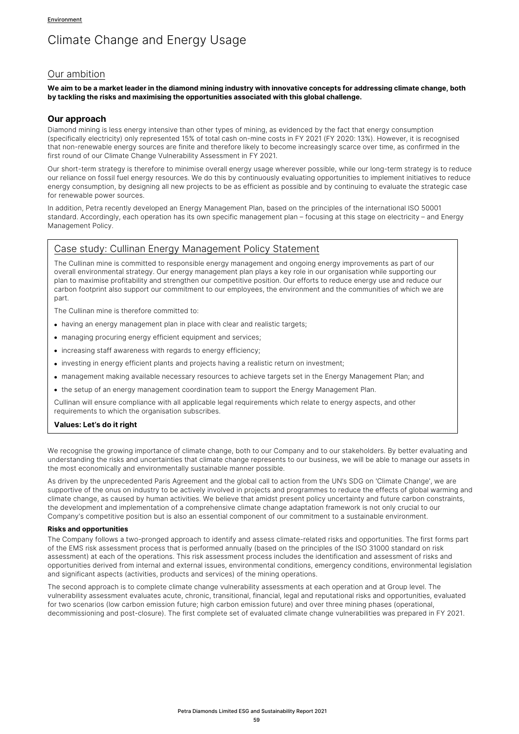# Climate Change and Energy Usage

# Our ambition

**We aim to be a market leader in the diamond mining industry with innovative concepts for addressing climate change, both by tackling the risks and maximising the opportunities associated with this global challenge.** 

### **Our approach**

Diamond mining is less energy intensive than other types of mining, as evidenced by the fact that energy consumption (specifically electricity) only represented 15% of total cash on-mine costs in FY 2021 (FY 2020: 13%). However, it is recognised that non-renewable energy sources are finite and therefore likely to become increasingly scarce over time, as confirmed in the first round of our Climate Change Vulnerability Assessment in FY 2021.

Our short-term strategy is therefore to minimise overall energy usage wherever possible, while our long-term strategy is to reduce our reliance on fossil fuel energy resources. We do this by continuously evaluating opportunities to implement initiatives to reduce energy consumption, by designing all new projects to be as efficient as possible and by continuing to evaluate the strategic case for renewable power sources.

In addition, Petra recently developed an Energy Management Plan, based on the principles of the international ISO 50001 standard. Accordingly, each operation has its own specific management plan – focusing at this stage on electricity – and Energy Management Policy.

# Case study: Cullinan Energy Management Policy Statement

The Cullinan mine is committed to responsible energy management and ongoing energy improvements as part of our overall environmental strategy. Our energy management plan plays a key role in our organisation while supporting our plan to maximise profitability and strengthen our competitive position. Our efforts to reduce energy use and reduce our carbon footprint also support our commitment to our employees, the environment and the communities of which we are part.

The Cullinan mine is therefore committed to:

- having an energy management plan in place with clear and realistic targets;
- managing procuring energy efficient equipment and services;
- increasing staff awareness with regards to energy efficiency;
- investing in energy efficient plants and projects having a realistic return on investment;
- management making available necessary resources to achieve targets set in the Energy Management Plan; and
- the setup of an energy management coordination team to support the Energy Management Plan.

Cullinan will ensure compliance with all applicable legal requirements which relate to energy aspects, and other requirements to which the organisation subscribes.

#### **Values: Let's do it right**

We recognise the growing importance of climate change, both to our Company and to our stakeholders. By better evaluating and understanding the risks and uncertainties that climate change represents to our business, we will be able to manage our assets in the most economically and environmentally sustainable manner possible.

As driven by the unprecedented Paris Agreement and the global call to action from the UN's SDG on 'Climate Change', we are supportive of the onus on industry to be actively involved in projects and programmes to reduce the effects of global warming and climate change, as caused by human activities. We believe that amidst present policy uncertainty and future carbon constraints, the development and implementation of a comprehensive climate change adaptation framework is not only crucial to our Company's competitive position but is also an essential component of our commitment to a sustainable environment.

#### **Risks and opportunities**

The Company follows a two-pronged approach to identify and assess climate-related risks and opportunities. The first forms part of the EMS risk assessment process that is performed annually (based on the principles of the ISO 31000 standard on risk assessment) at each of the operations. This risk assessment process includes the identification and assessment of risks and opportunities derived from internal and external issues, environmental conditions, emergency conditions, environmental legislation and significant aspects (activities, products and services) of the mining operations.

The second approach is to complete climate change vulnerability assessments at each operation and at Group level. The vulnerability assessment evaluates acute, chronic, transitional, financial, legal and reputational risks and opportunities, evaluated for two scenarios (low carbon emission future; high carbon emission future) and over three mining phases (operational, decommissioning and post-closure). The first complete set of evaluated climate change vulnerabilities was prepared in FY 2021.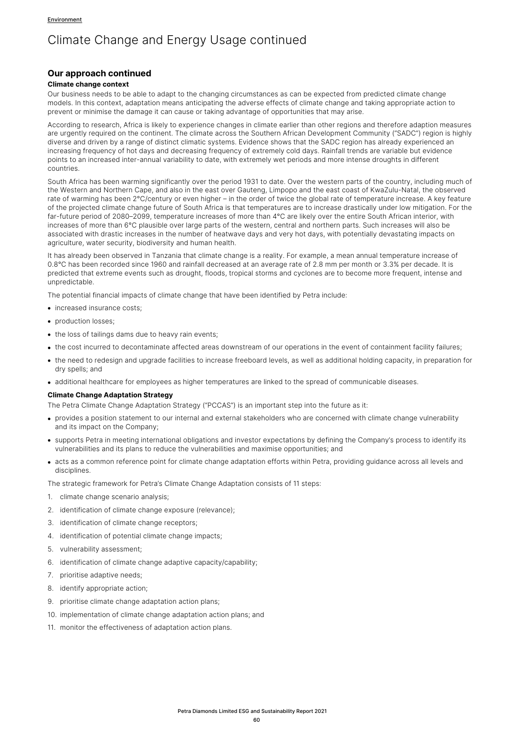### **Our approach continued**

#### **Climate change context**

Our business needs to be able to adapt to the changing circumstances as can be expected from predicted climate change models. In this context, adaptation means anticipating the adverse effects of climate change and taking appropriate action to prevent or minimise the damage it can cause or taking advantage of opportunities that may arise.

According to research, Africa is likely to experience changes in climate earlier than other regions and therefore adaption measures are urgently required on the continent. The climate across the Southern African Development Community ("SADC") region is highly diverse and driven by a range of distinct climatic systems. Evidence shows that the SADC region has already experienced an increasing frequency of hot days and decreasing frequency of extremely cold days. Rainfall trends are variable but evidence points to an increased inter-annual variability to date, with extremely wet periods and more intense droughts in different countries.

South Africa has been warming significantly over the period 1931 to date. Over the western parts of the country, including much of the Western and Northern Cape, and also in the east over Gauteng, Limpopo and the east coast of KwaZulu-Natal, the observed rate of warming has been 2°C/century or even higher – in the order of twice the global rate of temperature increase. A key feature of the projected climate change future of South Africa is that temperatures are to increase drastically under low mitigation. For the far-future period of 2080–2099, temperature increases of more than 4°C are likely over the entire South African interior, with increases of more than 6°C plausible over large parts of the western, central and northern parts. Such increases will also be associated with drastic increases in the number of heatwave days and very hot days, with potentially devastating impacts on agriculture, water security, biodiversity and human health.

It has already been observed in Tanzania that climate change is a reality. For example, a mean annual temperature increase of 0.8°C has been recorded since 1960 and rainfall decreased at an average rate of 2.8 mm per month or 3.3% per decade. It is predicted that extreme events such as drought, floods, tropical storms and cyclones are to become more frequent, intense and unpredictable.

The potential financial impacts of climate change that have been identified by Petra include:

- increased insurance costs;
- production losses:
- the loss of tailings dams due to heavy rain events;
- the cost incurred to decontaminate affected areas downstream of our operations in the event of containment facility failures;
- the need to redesign and upgrade facilities to increase freeboard levels, as well as additional holding capacity, in preparation for dry spells; and
- additional healthcare for employees as higher temperatures are linked to the spread of communicable diseases.

#### **Climate Change Adaptation Strategy**

The Petra Climate Change Adaptation Strategy ("PCCAS") is an important step into the future as it:

- provides a position statement to our internal and external stakeholders who are concerned with climate change vulnerability and its impact on the Company;
- supports Petra in meeting international obligations and investor expectations by defining the Company's process to identify its vulnerabilities and its plans to reduce the vulnerabilities and maximise opportunities; and
- acts as a common reference point for climate change adaptation efforts within Petra, providing guidance across all levels and disciplines.

The strategic framework for Petra's Climate Change Adaptation consists of 11 steps:

- 1. climate change scenario analysis;
- 2. identification of climate change exposure (relevance);
- 3. identification of climate change receptors;
- 4. identification of potential climate change impacts;
- 5. vulnerability assessment;
- 6. identification of climate change adaptive capacity/capability;
- 7. prioritise adaptive needs;
- 8. identify appropriate action;
- 9. prioritise climate change adaptation action plans;
- 10. implementation of climate change adaptation action plans; and
- 11. monitor the effectiveness of adaptation action plans.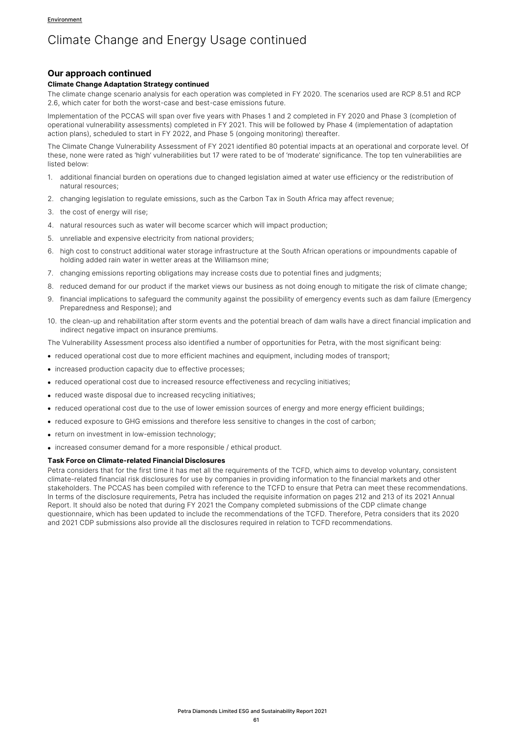## **Our approach continued**

#### **Climate Change Adaptation Strategy continued**

The climate change scenario analysis for each operation was completed in FY 2020. The scenarios used are RCP 8.51 and RCP 2.6, which cater for both the worst-case and best-case emissions future.

Implementation of the PCCAS will span over five years with Phases 1 and 2 completed in FY 2020 and Phase 3 (completion of operational vulnerability assessments) completed in FY 2021. This will be followed by Phase 4 (implementation of adaptation action plans), scheduled to start in FY 2022, and Phase 5 (ongoing monitoring) thereafter.

The Climate Change Vulnerability Assessment of FY 2021 identified 80 potential impacts at an operational and corporate level. Of these, none were rated as 'high' vulnerabilities but 17 were rated to be of 'moderate' significance. The top ten vulnerabilities are listed below:

- 1. additional financial burden on operations due to changed legislation aimed at water use efficiency or the redistribution of natural resources;
- 2. changing legislation to regulate emissions, such as the Carbon Tax in South Africa may affect revenue;
- 3. the cost of energy will rise;
- 4. natural resources such as water will become scarcer which will impact production;
- 5. unreliable and expensive electricity from national providers;
- 6. high cost to construct additional water storage infrastructure at the South African operations or impoundments capable of holding added rain water in wetter areas at the Williamson mine;
- 7. changing emissions reporting obligations may increase costs due to potential fines and judgments;
- 8. reduced demand for our product if the market views our business as not doing enough to mitigate the risk of climate change;
- 9. financial implications to safeguard the community against the possibility of emergency events such as dam failure (Emergency Preparedness and Response); and
- 10. the clean-up and rehabilitation after storm events and the potential breach of dam walls have a direct financial implication and indirect negative impact on insurance premiums.

The Vulnerability Assessment process also identified a number of opportunities for Petra, with the most significant being:

- reduced operational cost due to more efficient machines and equipment, including modes of transport;
- increased production capacity due to effective processes;
- reduced operational cost due to increased resource effectiveness and recycling initiatives:
- reduced waste disposal due to increased recycling initiatives;
- reduced operational cost due to the use of lower emission sources of energy and more energy efficient buildings;
- reduced exposure to GHG emissions and therefore less sensitive to changes in the cost of carbon;
- return on investment in low-emission technology;
- increased consumer demand for a more responsible / ethical product.

#### **Task Force on Climate-related Financial Disclosures**

Petra considers that for the first time it has met all the requirements of the TCFD, which aims to develop voluntary, consistent climate-related financial risk disclosures for use by companies in providing information to the financial markets and other stakeholders. The PCCAS has been compiled with reference to the TCFD to ensure that Petra can meet these recommendations. In terms of the disclosure requirements, Petra has included the requisite information on pages 212 and 213 of its 2021 Annual Report. It should also be noted that during FY 2021 the Company completed submissions of the CDP climate change questionnaire, which has been updated to include the recommendations of the TCFD. Therefore, Petra considers that its 2020 and 2021 CDP submissions also provide all the disclosures required in relation to TCFD recommendations.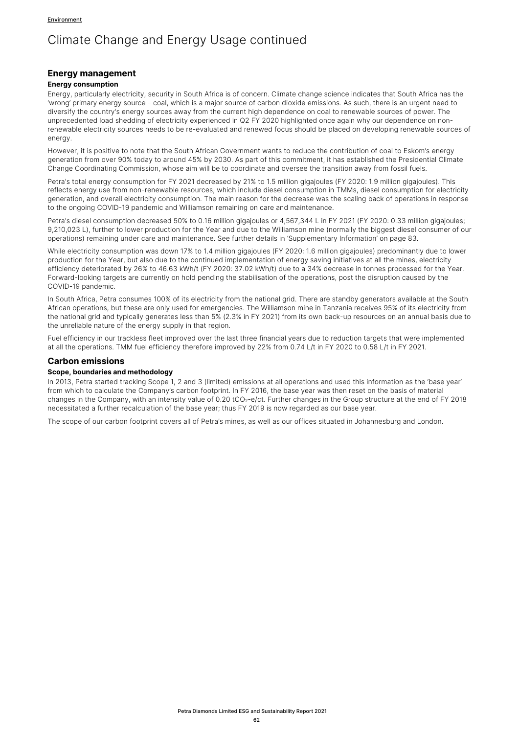### **Energy management**

#### **Energy consumption**

Energy, particularly electricity, security in South Africa is of concern. Climate change science indicates that South Africa has the 'wrong' primary energy source – coal, which is a major source of carbon dioxide emissions. As such, there is an urgent need to diversify the country's energy sources away from the current high dependence on coal to renewable sources of power. The unprecedented load shedding of electricity experienced in Q2 FY 2020 highlighted once again why our dependence on nonrenewable electricity sources needs to be re-evaluated and renewed focus should be placed on developing renewable sources of energy.

However, it is positive to note that the South African Government wants to reduce the contribution of coal to Eskom's energy generation from over 90% today to around 45% by 2030. As part of this commitment, it has established the Presidential Climate Change Coordinating Commission, whose aim will be to coordinate and oversee the transition away from fossil fuels.

Petra's total energy consumption for FY 2021 decreased by 21% to 1.5 million gigajoules (FY 2020: 1.9 million gigajoules). This reflects energy use from non-renewable resources, which include diesel consumption in TMMs, diesel consumption for electricity generation, and overall electricity consumption. The main reason for the decrease was the scaling back of operations in response to the ongoing COVID-19 pandemic and Williamson remaining on care and maintenance.

Petra's diesel consumption decreased 50% to 0.16 million gigajoules or 4,567,344 L in FY 2021 (FY 2020: 0.33 million gigajoules; 9,210,023 L), further to lower production for the Year and due to the Williamson mine (normally the biggest diesel consumer of our operations) remaining under care and maintenance. See further details in 'Supplementary Information' on page 83.

While electricity consumption was down 17% to 1.4 million gigajoules (FY 2020: 1.6 million gigajoules) predominantly due to lower production for the Year, but also due to the continued implementation of energy saving initiatives at all the mines, electricity efficiency deteriorated by 26% to 46.63 kWh/t (FY 2020: 37.02 kWh/t) due to a 34% decrease in tonnes processed for the Year. Forward-looking targets are currently on hold pending the stabilisation of the operations, post the disruption caused by the COVID-19 pandemic.

In South Africa, Petra consumes 100% of its electricity from the national grid. There are standby generators available at the South African operations, but these are only used for emergencies. The Williamson mine in Tanzania receives 95% of its electricity from the national grid and typically generates less than 5% (2.3% in FY 2021) from its own back-up resources on an annual basis due to the unreliable nature of the energy supply in that region.

Fuel efficiency in our trackless fleet improved over the last three financial years due to reduction targets that were implemented at all the operations. TMM fuel efficiency therefore improved by 22% from 0.74 L/t in FY 2020 to 0.58 L/t in FY 2021.

### **Carbon emissions**

#### **Scope, boundaries and methodology**

In 2013, Petra started tracking Scope 1, 2 and 3 (limited) emissions at all operations and used this information as the 'base year' from which to calculate the Company's carbon footprint. In FY 2016, the base year was then reset on the basis of material changes in the Company, with an intensity value of 0.20 tCO<sub>2</sub>-e/ct. Further changes in the Group structure at the end of FY 2018 necessitated a further recalculation of the base year; thus FY 2019 is now regarded as our base year.

The scope of our carbon footprint covers all of Petra's mines, as well as our offices situated in Johannesburg and London.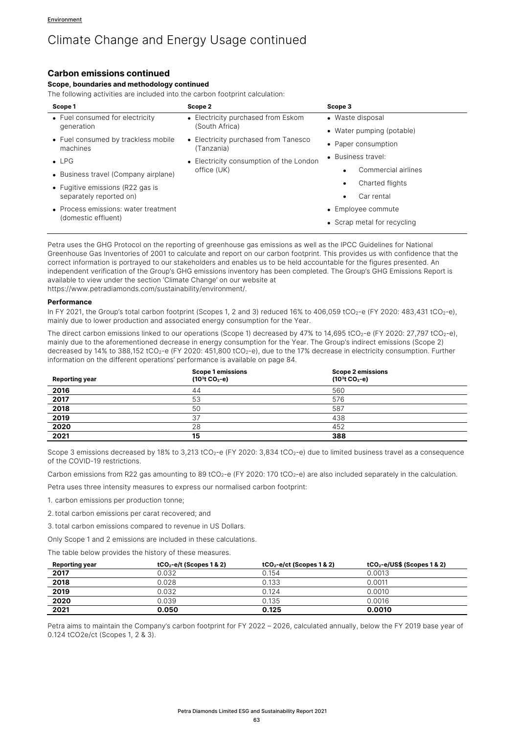## **Carbon emissions continued**

#### **Scope, boundaries and methodology continued**

The following activities are included into the carbon footprint calculation:

| Scope 1                                         | Scope 2                                            | Scope 3                          |
|-------------------------------------------------|----------------------------------------------------|----------------------------------|
| • Fuel consumed for electricity                 | • Electricity purchased from Eskom                 | • Waste disposal                 |
| generation                                      | (South Africa)                                     | • Water pumping (potable)        |
| • Fuel consumed by trackless mobile<br>machines | • Electricity purchased from Tanesco<br>(Tanzania) | • Paper consumption              |
| $\bullet$ LPG                                   | • Electricity consumption of the London            | • Business travel:               |
| • Business travel (Company airplane)            | office (UK)                                        | Commercial airlines<br>$\bullet$ |
| • Fugitive emissions (R22 gas is                |                                                    | Charted flights<br>٠             |
| separately reported on)                         |                                                    | Car rental<br>$\bullet$          |
| • Process emissions: water treatment            |                                                    | • Employee commute               |
| (domestic effluent)                             |                                                    | • Scrap metal for recycling      |

Petra uses the GHG Protocol on the reporting of greenhouse gas emissions as well as the IPCC Guidelines for National Greenhouse Gas Inventories of 2001 to calculate and report on our carbon footprint. This provides us with confidence that the correct information is portrayed to our stakeholders and enables us to be held accountable for the figures presented. An independent verification of the Group's GHG emissions inventory has been completed. The Group's GHG Emissions Report is available to view under the section 'Climate Change' on our website at https://www.petradiamonds.com/sustainability/environment/.

#### **Performance**

In FY 2021, the Group's total carbon footprint (Scopes 1, 2 and 3) reduced 16% to 406,059 tCO<sub>2</sub>-e (FY 2020: 483,431 tCO<sub>2</sub>-e), mainly due to lower production and associated energy consumption for the Year.

The direct carbon emissions linked to our operations (Scope 1) decreased by 47% to 14,695 tCO<sub>2</sub>-e (FY 2020: 27,797 tCO<sub>2</sub>-e), mainly due to the aforementioned decrease in energy consumption for the Year. The Group's indirect emissions (Scope 2) decreased by 14% to 388,152 tCO<sub>2</sub>-e (FY 2020: 451,800 tCO<sub>2</sub>-e), due to the 17% decrease in electricity consumption. Further information on the different operations' performance is available on page 84.

| <b>Reporting year</b> | <b>Scope 1 emissions</b><br>$(10^3t)$ CO <sub>2</sub> -e) | <b>Scope 2 emissions</b><br>$(10^3t)$ CO <sub>2</sub> -e) |  |
|-----------------------|-----------------------------------------------------------|-----------------------------------------------------------|--|
| 2016                  | 44                                                        | 560                                                       |  |
| 2017                  | 53                                                        | 576                                                       |  |
| 2018                  | 50                                                        | 587                                                       |  |
| 2019                  | 37                                                        | 438                                                       |  |
| 2020                  | 28                                                        | 452                                                       |  |
| 2021                  | 15                                                        | 388                                                       |  |

Scope 3 emissions decreased by 18% to 3,213 tCO<sub>2</sub>-e (FY 2020: 3,834 tCO<sub>2</sub>-e) due to limited business travel as a consequence of the COVID-19 restrictions.

Carbon emissions from R22 gas amounting to 89 tCO<sub>2</sub>-e (FY 2020: 170 tCO<sub>2</sub>-e) are also included separately in the calculation.

Petra uses three intensity measures to express our normalised carbon footprint:

1. carbon emissions per production tonne;

2. total carbon emissions per carat recovered; and

3.total carbon emissions compared to revenue in US Dollars.

Only Scope 1 and 2 emissions are included in these calculations.

The table below provides the history of these measures.

| <b>Reporting year</b> | $tCO2 - e/t$ (Scopes 1 & 2) | $tCO2$ -e/ct (Scopes 1 & 2) | $tCO2-e/US$$ (Scopes 1 & 2) |
|-----------------------|-----------------------------|-----------------------------|-----------------------------|
| 2017                  | 0.032                       | 0.154                       | 0.0013                      |
| 2018                  | 0.028                       | 0.133                       | 0.0011                      |
| 2019                  | 0.032                       | 0.124                       | 0.0010                      |
| 2020                  | 0.039                       | 0.135                       | 0.0016                      |
| 2021                  | 0.050                       | 0.125                       | 0.0010                      |

Petra aims to maintain the Company's carbon footprint for FY 2022 – 2026, calculated annually, below the FY 2019 base year of 0.124 tCO2e/ct (Scopes 1, 2 & 3).